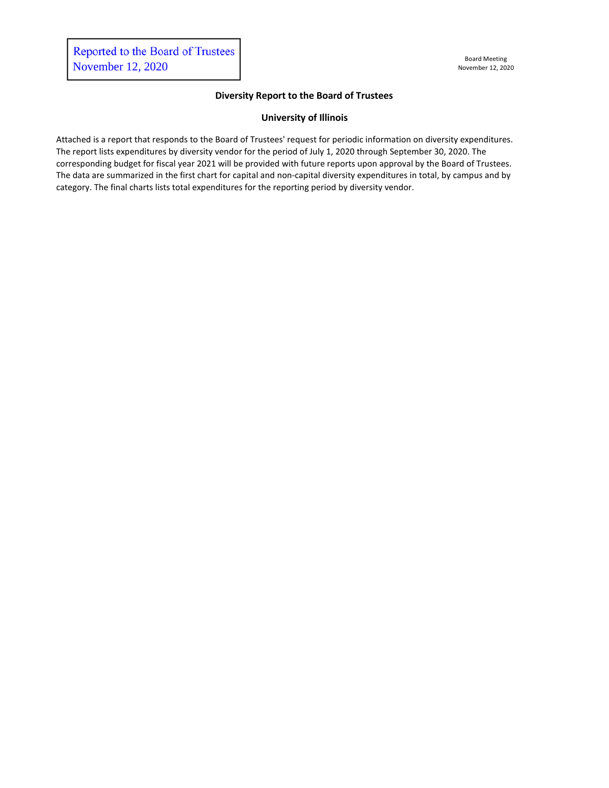## **Diversity Report to the Board of Trustees**

# **University of Illinois**

Attached is a report that responds to the Board of Trustees' request for periodic information on diversity expenditures. The report lists expenditures by diversity vendor for the period of July 1, 2020 through September 30, 2020. The corresponding budget for fiscal year 2021 will be provided with future reports upon approval by the Board of Trustees. The data are summarized in the first chart for capital and non-capital diversity expenditures in total, by campus and by category. The final charts lists total expenditures for the reporting period by diversity vendor.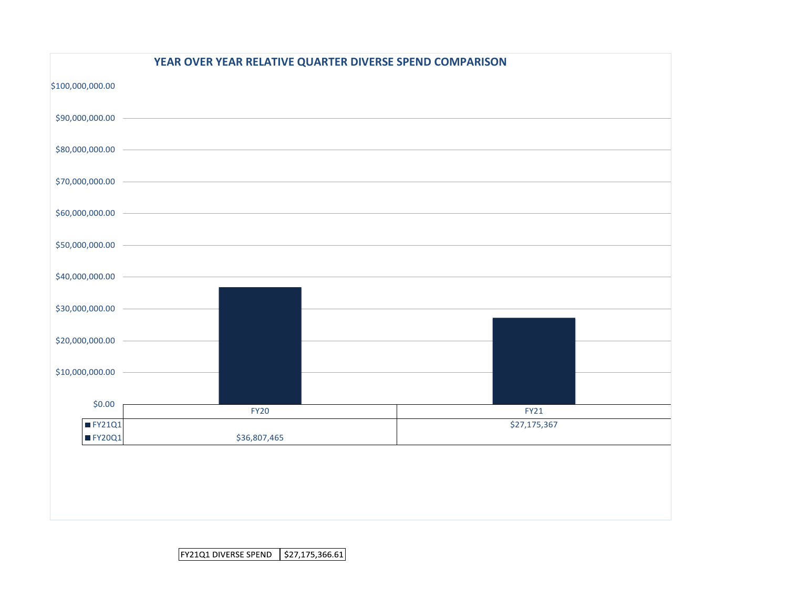|                                 | YEAR OVER YEAR RELATIVE QUARTER DIVERSE SPEND COMPARISON |              |
|---------------------------------|----------------------------------------------------------|--------------|
| \$100,000,000.00                |                                                          |              |
| \$90,000,000.00                 |                                                          |              |
| \$80,000,000.00                 |                                                          |              |
| \$70,000,000.00 -               |                                                          |              |
| \$60,000,000.00                 |                                                          |              |
| \$50,000,000.00 -               |                                                          |              |
| \$40,000,000.00                 |                                                          |              |
| \$30,000,000.00                 |                                                          |              |
| \$20,000,000.00                 |                                                          |              |
| \$10,000,000.00                 |                                                          |              |
| \$0.00                          |                                                          |              |
|                                 | <b>FY20</b>                                              | <b>FY21</b>  |
| $\blacksquare$ FY21Q1<br>FY20Q1 | \$36,807,465                                             | \$27,175,367 |
|                                 |                                                          |              |
|                                 |                                                          |              |
|                                 |                                                          |              |
|                                 |                                                          |              |
|                                 |                                                          |              |

FY21Q1 DIVERSE SPEND | \$27,175,366.61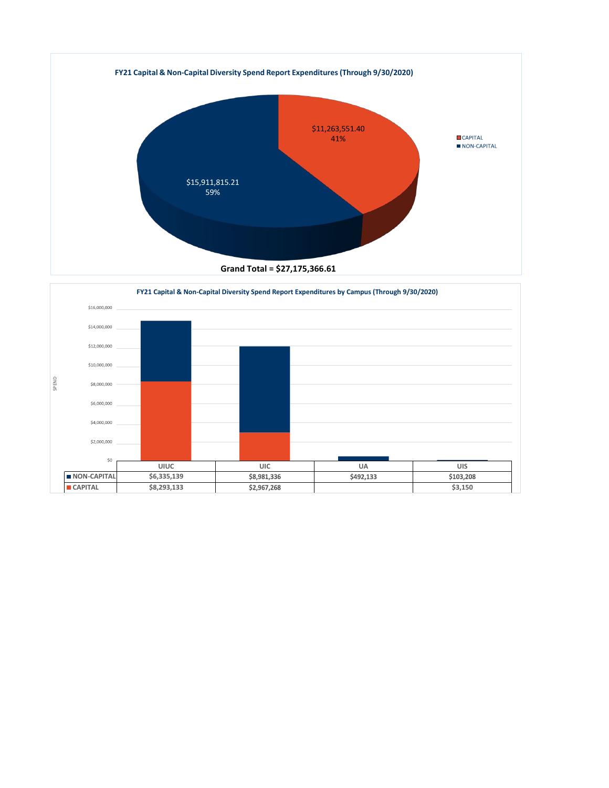

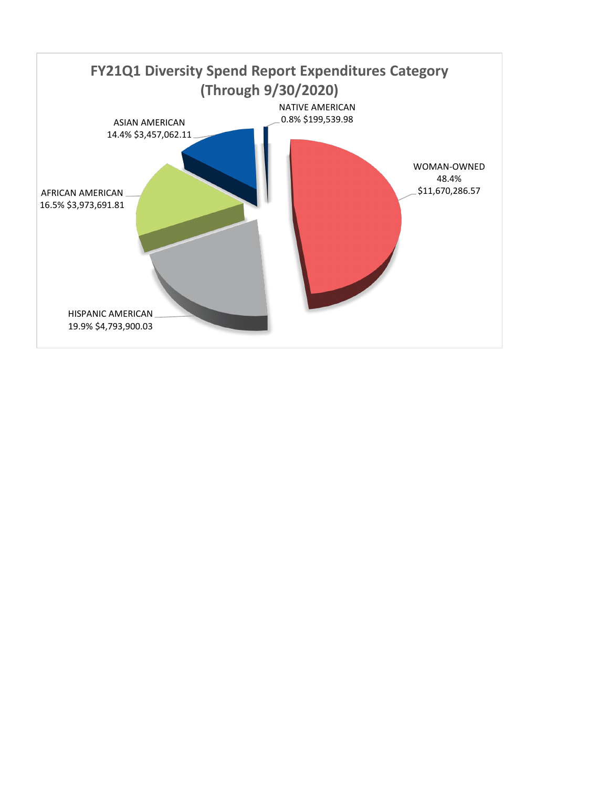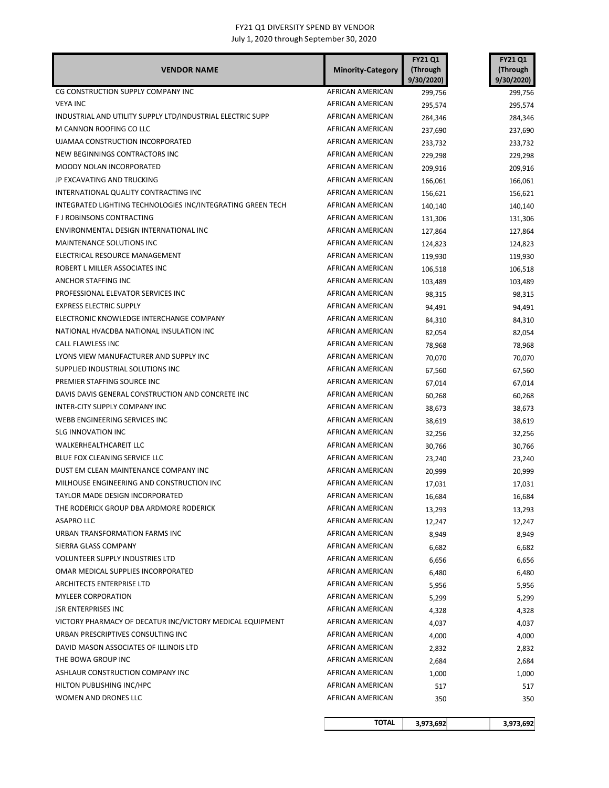| <b>VENDOR NAME</b>                                          | <b>Minority-Category</b> | <b>FY21 Q1</b><br>(Through<br>9/30/2020 | <b>FY21 Q1</b><br>(Through<br>9/30/2020) |
|-------------------------------------------------------------|--------------------------|-----------------------------------------|------------------------------------------|
| CG CONSTRUCTION SUPPLY COMPANY INC                          | AFRICAN AMERICAN         | 299,756                                 | 299,756                                  |
| <b>VEYA INC</b>                                             | AFRICAN AMERICAN         | 295,574                                 | 295,574                                  |
| INDUSTRIAL AND UTILITY SUPPLY LTD/INDUSTRIAL ELECTRIC SUPP  | AFRICAN AMERICAN         | 284,346                                 | 284,346                                  |
| M CANNON ROOFING CO LLC                                     | AFRICAN AMERICAN         | 237,690                                 | 237,690                                  |
| UJAMAA CONSTRUCTION INCORPORATED                            | AFRICAN AMERICAN         | 233,732                                 | 233,732                                  |
| NEW BEGINNINGS CONTRACTORS INC                              | AFRICAN AMERICAN         | 229,298                                 | 229,298                                  |
| MOODY NOLAN INCORPORATED                                    | AFRICAN AMERICAN         | 209,916                                 | 209,916                                  |
| JP EXCAVATING AND TRUCKING                                  | AFRICAN AMERICAN         | 166,061                                 | 166,061                                  |
| INTERNATIONAL QUALITY CONTRACTING INC                       | AFRICAN AMERICAN         | 156,621                                 | 156,621                                  |
| INTEGRATED LIGHTING TECHNOLOGIES INC/INTEGRATING GREEN TECH | AFRICAN AMERICAN         | 140,140                                 | 140,140                                  |
| F J ROBINSONS CONTRACTING                                   | AFRICAN AMERICAN         | 131,306                                 | 131,306                                  |
| ENVIRONMENTAL DESIGN INTERNATIONAL INC                      | AFRICAN AMERICAN         | 127,864                                 | 127,864                                  |
| MAINTENANCE SOLUTIONS INC                                   | AFRICAN AMERICAN         | 124,823                                 | 124,823                                  |
| ELECTRICAL RESOURCE MANAGEMENT                              | AFRICAN AMERICAN         | 119,930                                 | 119,930                                  |
| ROBERT L MILLER ASSOCIATES INC                              | AFRICAN AMERICAN         | 106,518                                 | 106,518                                  |
| ANCHOR STAFFING INC                                         | AFRICAN AMERICAN         | 103,489                                 | 103,489                                  |
| PROFESSIONAL ELEVATOR SERVICES INC                          | AFRICAN AMERICAN         | 98,315                                  | 98,315                                   |
| <b>EXPRESS ELECTRIC SUPPLY</b>                              | AFRICAN AMERICAN         | 94,491                                  | 94,491                                   |
| ELECTRONIC KNOWLEDGE INTERCHANGE COMPANY                    | AFRICAN AMERICAN         | 84,310                                  | 84,310                                   |
| NATIONAL HVACDBA NATIONAL INSULATION INC                    | AFRICAN AMERICAN         | 82,054                                  | 82,054                                   |
| CALL FLAWLESS INC                                           | AFRICAN AMERICAN         | 78,968                                  | 78,968                                   |
| LYONS VIEW MANUFACTURER AND SUPPLY INC                      | AFRICAN AMERICAN         | 70,070                                  | 70,070                                   |
| SUPPLIED INDUSTRIAL SOLUTIONS INC                           | AFRICAN AMERICAN         | 67,560                                  | 67,560                                   |
| PREMIER STAFFING SOURCE INC                                 | AFRICAN AMERICAN         | 67,014                                  | 67,014                                   |
| DAVIS DAVIS GENERAL CONSTRUCTION AND CONCRETE INC           | AFRICAN AMERICAN         | 60,268                                  | 60,268                                   |
| INTER-CITY SUPPLY COMPANY INC                               | AFRICAN AMERICAN         | 38,673                                  | 38,673                                   |
| WEBB ENGINEERING SERVICES INC                               | AFRICAN AMERICAN         | 38,619                                  | 38,619                                   |
| <b>SLG INNOVATION INC</b>                                   | AFRICAN AMERICAN         | 32,256                                  | 32,256                                   |
| WALKERHEALTHCAREIT LLC                                      | AFRICAN AMERICAN         | 30,766                                  | 30,766                                   |
| <b>BLUE FOX CLEANING SERVICE LLC</b>                        | AFRICAN AMERICAN         | 23,240                                  | 23,240                                   |
| DUST EM CLEAN MAINTENANCE COMPANY INC                       | AFRICAN AMERICAN         | 20,999                                  | 20,999                                   |
| MILHOUSE ENGINEERING AND CONSTRUCTION INC                   | AFRICAN AMERICAN         | 17,031                                  | 17,031                                   |
| TAYLOR MADE DESIGN INCORPORATED                             | AFRICAN AMERICAN         | 16,684                                  | 16,684                                   |
| THE RODERICK GROUP DBA ARDMORE RODERICK                     | AFRICAN AMERICAN         | 13,293                                  | 13,293                                   |
| <b>ASAPRO LLC</b>                                           | AFRICAN AMERICAN         | 12,247                                  | 12,247                                   |
| URBAN TRANSFORMATION FARMS INC                              | AFRICAN AMERICAN         | 8,949                                   | 8,949                                    |
| SIERRA GLASS COMPANY                                        | AFRICAN AMERICAN         | 6,682                                   | 6,682                                    |
| <b>VOLUNTEER SUPPLY INDUSTRIES LTD</b>                      | AFRICAN AMERICAN         | 6,656                                   | 6,656                                    |
| OMAR MEDICAL SUPPLIES INCORPORATED                          | AFRICAN AMERICAN         | 6,480                                   | 6,480                                    |
| <b>ARCHITECTS ENTERPRISE LTD</b>                            | AFRICAN AMERICAN         | 5,956                                   | 5,956                                    |
| <b>MYLEER CORPORATION</b>                                   | AFRICAN AMERICAN         | 5,299                                   | 5,299                                    |
| <b>JSR ENTERPRISES INC</b>                                  | AFRICAN AMERICAN         | 4,328                                   | 4,328                                    |
| VICTORY PHARMACY OF DECATUR INC/VICTORY MEDICAL EQUIPMENT   | AFRICAN AMERICAN         | 4,037                                   | 4,037                                    |
| URBAN PRESCRIPTIVES CONSULTING INC                          | AFRICAN AMERICAN         | 4,000                                   | 4,000                                    |
| DAVID MASON ASSOCIATES OF ILLINOIS LTD                      | AFRICAN AMERICAN         | 2,832                                   | 2,832                                    |
| THE BOWA GROUP INC                                          | AFRICAN AMERICAN         | 2,684                                   | 2,684                                    |
| ASHLAUR CONSTRUCTION COMPANY INC                            | AFRICAN AMERICAN         | 1,000                                   | 1,000                                    |
| HILTON PUBLISHING INC/HPC                                   | AFRICAN AMERICAN         | 517                                     | 517                                      |
| WOMEN AND DRONES LLC                                        | AFRICAN AMERICAN         | 350                                     | 350                                      |
|                                                             | <b>TOTAL</b>             | 3,973,692                               | 3,973,692                                |
|                                                             |                          |                                         |                                          |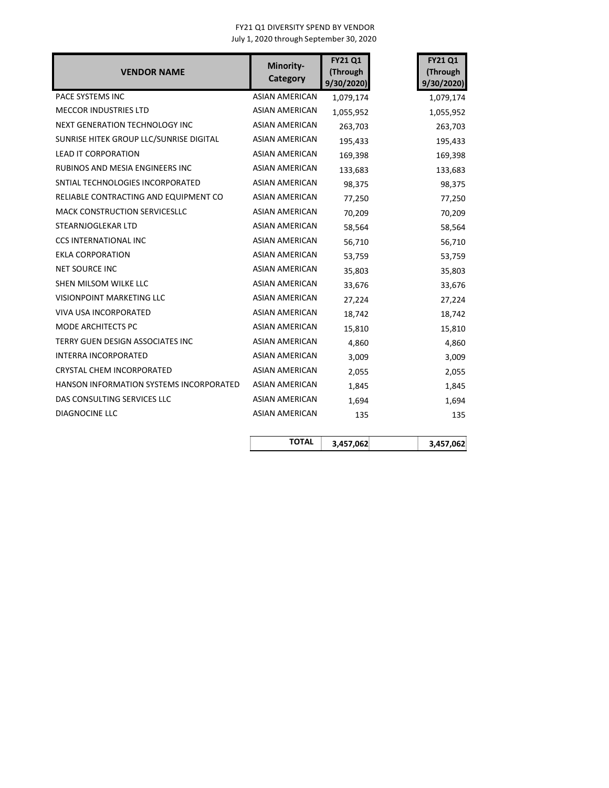| <b>VENDOR NAME</b>                      | Minority-<br>Category | <b>FY21 Q1</b><br>(Through<br>9/30/2020) | <b>FY21 Q1</b><br>(Through<br>9/30/2020) |
|-----------------------------------------|-----------------------|------------------------------------------|------------------------------------------|
| PACE SYSTEMS INC                        | <b>ASIAN AMERICAN</b> | 1,079,174                                | 1,079,174                                |
| <b>MECCOR INDUSTRIES LTD</b>            | <b>ASIAN AMERICAN</b> | 1,055,952                                | 1,055,952                                |
| NEXT GENERATION TECHNOLOGY INC          | <b>ASIAN AMERICAN</b> | 263,703                                  | 263,703                                  |
| SUNRISE HITEK GROUP LLC/SUNRISE DIGITAL | <b>ASIAN AMERICAN</b> | 195,433                                  | 195,433                                  |
| <b>LEAD IT CORPORATION</b>              | <b>ASIAN AMERICAN</b> | 169,398                                  | 169,398                                  |
| RUBINOS AND MESIA ENGINEERS INC         | <b>ASIAN AMERICAN</b> | 133,683                                  | 133,683                                  |
| SNTIAL TECHNOLOGIES INCORPORATED        | <b>ASIAN AMERICAN</b> | 98,375                                   | 98,375                                   |
| RELIABLE CONTRACTING AND EQUIPMENT CO   | ASIAN AMERICAN        | 77,250                                   | 77,250                                   |
| <b>MACK CONSTRUCTION SERVICESLLC</b>    | <b>ASIAN AMERICAN</b> | 70,209                                   | 70,209                                   |
| STEARNJOGLEKAR LTD                      | <b>ASIAN AMERICAN</b> | 58,564                                   | 58,564                                   |
| <b>CCS INTERNATIONAL INC</b>            | <b>ASIAN AMERICAN</b> | 56,710                                   | 56,710                                   |
| <b>EKLA CORPORATION</b>                 | <b>ASIAN AMERICAN</b> | 53,759                                   | 53,759                                   |
| <b>NET SOURCE INC</b>                   | <b>ASIAN AMERICAN</b> | 35,803                                   | 35,803                                   |
| SHEN MILSOM WILKE LLC                   | <b>ASIAN AMERICAN</b> | 33,676                                   | 33,676                                   |
| VISIONPOINT MARKETING LLC               | <b>ASIAN AMERICAN</b> | 27,224                                   | 27,224                                   |
| VIVA USA INCORPORATED                   | <b>ASIAN AMERICAN</b> | 18,742                                   | 18,742                                   |
| MODE ARCHITECTS PC                      | <b>ASIAN AMERICAN</b> | 15,810                                   | 15,810                                   |
| TERRY GUEN DESIGN ASSOCIATES INC        | <b>ASIAN AMERICAN</b> | 4,860                                    | 4,860                                    |
| <b>INTERRA INCORPORATED</b>             | <b>ASIAN AMERICAN</b> | 3,009                                    | 3,009                                    |
| CRYSTAL CHEM INCORPORATED               | <b>ASIAN AMERICAN</b> | 2,055                                    | 2,055                                    |
| HANSON INFORMATION SYSTEMS INCORPORATED | ASIAN AMERICAN        | 1,845                                    | 1,845                                    |
| DAS CONSULTING SERVICES LLC             | <b>ASIAN AMERICAN</b> | 1,694                                    | 1,694                                    |
| DIAGNOCINE LLC                          | <b>ASIAN AMERICAN</b> | 135                                      | 135                                      |
|                                         | <b>TOTAL</b>          | 3,457,062                                | 3,457,062                                |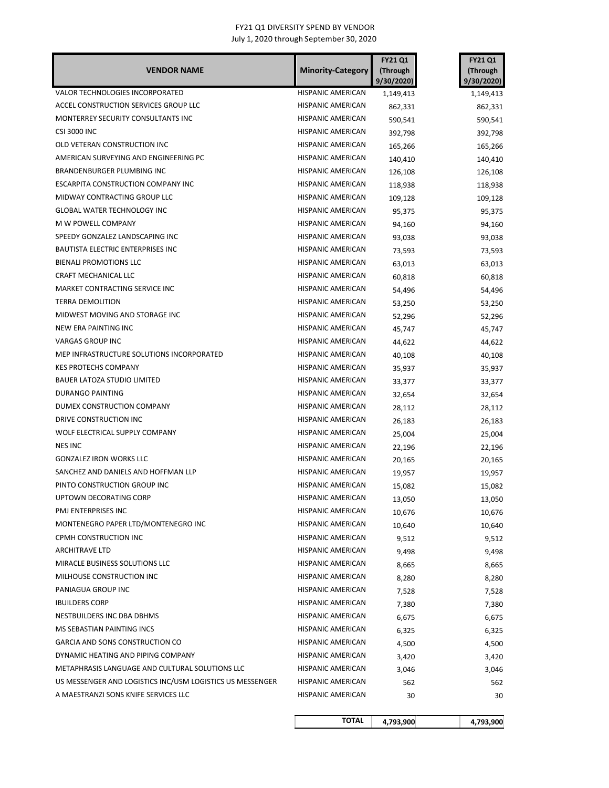| <b>VENDOR NAME</b>                                        | <b>Minority-Category</b> | <b>FY21 Q1</b><br>(Through<br>9/30/2020) | <b>FY21 Q1</b><br>(Through<br>9/30/2020) |
|-----------------------------------------------------------|--------------------------|------------------------------------------|------------------------------------------|
| <b>VALOR TECHNOLOGIES INCORPORATED</b>                    | HISPANIC AMERICAN        | 1,149,413                                | 1,149,413                                |
| ACCEL CONSTRUCTION SERVICES GROUP LLC                     | HISPANIC AMERICAN        | 862,331                                  | 862,331                                  |
| MONTERREY SECURITY CONSULTANTS INC                        | HISPANIC AMERICAN        | 590,541                                  | 590,541                                  |
| <b>CSI 3000 INC</b>                                       | HISPANIC AMERICAN        | 392,798                                  | 392,798                                  |
| OLD VETERAN CONSTRUCTION INC                              | HISPANIC AMERICAN        | 165,266                                  | 165,266                                  |
| AMERICAN SURVEYING AND ENGINEERING PC                     | HISPANIC AMERICAN        | 140,410                                  | 140,410                                  |
| <b>BRANDENBURGER PLUMBING INC</b>                         | HISPANIC AMERICAN        | 126,108                                  | 126,108                                  |
| <b>ESCARPITA CONSTRUCTION COMPANY INC</b>                 | <b>HISPANIC AMERICAN</b> | 118,938                                  | 118,938                                  |
| MIDWAY CONTRACTING GROUP LLC                              | HISPANIC AMERICAN        | 109,128                                  | 109,128                                  |
| <b>GLOBAL WATER TECHNOLOGY INC</b>                        | HISPANIC AMERICAN        | 95,375                                   | 95,375                                   |
| M W POWELL COMPANY                                        | HISPANIC AMERICAN        | 94,160                                   | 94,160                                   |
| SPEEDY GONZALEZ LANDSCAPING INC                           | HISPANIC AMERICAN        | 93,038                                   | 93,038                                   |
| <b>BAUTISTA ELECTRIC ENTERPRISES INC</b>                  | HISPANIC AMERICAN        | 73,593                                   | 73,593                                   |
| <b>BIENALI PROMOTIONS LLC</b>                             | <b>HISPANIC AMERICAN</b> | 63,013                                   | 63,013                                   |
| CRAFT MECHANICAL LLC                                      | HISPANIC AMERICAN        | 60,818                                   | 60,818                                   |
| MARKET CONTRACTING SERVICE INC                            | <b>HISPANIC AMERICAN</b> | 54,496                                   | 54,496                                   |
| <b>TERRA DEMOLITION</b>                                   | HISPANIC AMERICAN        | 53,250                                   | 53,250                                   |
| MIDWEST MOVING AND STORAGE INC                            | HISPANIC AMERICAN        | 52,296                                   | 52,296                                   |
| NEW ERA PAINTING INC                                      | HISPANIC AMERICAN        | 45,747                                   | 45,747                                   |
| <b>VARGAS GROUP INC</b>                                   | HISPANIC AMERICAN        | 44,622                                   | 44,622                                   |
| MEP INFRASTRUCTURE SOLUTIONS INCORPORATED                 | HISPANIC AMERICAN        | 40,108                                   | 40,108                                   |
| <b>KES PROTECHS COMPANY</b>                               | HISPANIC AMERICAN        | 35,937                                   | 35,937                                   |
| <b>BAUER LATOZA STUDIO LIMITED</b>                        | HISPANIC AMERICAN        | 33,377                                   | 33,377                                   |
| <b>DURANGO PAINTING</b>                                   | HISPANIC AMERICAN        | 32,654                                   | 32,654                                   |
| DUMEX CONSTRUCTION COMPANY                                | HISPANIC AMERICAN        | 28,112                                   | 28,112                                   |
| DRIVE CONSTRUCTION INC                                    | HISPANIC AMERICAN        | 26,183                                   | 26,183                                   |
| WOLF ELECTRICAL SUPPLY COMPANY                            | HISPANIC AMERICAN        | 25,004                                   | 25,004                                   |
| <b>NES INC</b>                                            | HISPANIC AMERICAN        | 22,196                                   | 22,196                                   |
| <b>GONZALEZ IRON WORKS LLC</b>                            | <b>HISPANIC AMERICAN</b> | 20,165                                   | 20,165                                   |
| SANCHEZ AND DANIELS AND HOFFMAN LLP                       | HISPANIC AMERICAN        | 19,957                                   | 19,957                                   |
| PINTO CONSTRUCTION GROUP INC                              | HISPANIC AMERICAN        | 15,082                                   | 15,082                                   |
| UPTOWN DECORATING CORP                                    | <b>HISPANIC AMERICAN</b> | 13,050                                   | 13,050                                   |
| PMJ ENTERPRISES INC                                       | HISPANIC AMERICAN        | 10,676                                   | 10,676                                   |
| MONTENEGRO PAPER LTD/MONTENEGRO INC                       | HISPANIC AMERICAN        | 10,640                                   | 10,640                                   |
| CPMH CONSTRUCTION INC                                     | HISPANIC AMERICAN        | 9,512                                    | 9,512                                    |
| ARCHITRAVE LTD                                            | HISPANIC AMERICAN        | 9,498                                    | 9,498                                    |
| MIRACLE BUSINESS SOLUTIONS LLC                            | HISPANIC AMERICAN        | 8,665                                    | 8,665                                    |
| MILHOUSE CONSTRUCTION INC                                 | HISPANIC AMERICAN        | 8,280                                    | 8,280                                    |
| PANIAGUA GROUP INC                                        | HISPANIC AMERICAN        | 7,528                                    | 7,528                                    |
| <b>IBUILDERS CORP</b>                                     | HISPANIC AMERICAN        | 7,380                                    | 7,380                                    |
| NESTBUILDERS INC DBA DBHMS                                | HISPANIC AMERICAN        | 6,675                                    | 6,675                                    |
| MS SEBASTIAN PAINTING INCS                                | HISPANIC AMERICAN        | 6,325                                    | 6,325                                    |
| <b>GARCIA AND SONS CONSTRUCTION CO</b>                    | HISPANIC AMERICAN        | 4,500                                    | 4,500                                    |
| DYNAMIC HEATING AND PIPING COMPANY                        | HISPANIC AMERICAN        | 3,420                                    | 3,420                                    |
| METAPHRASIS LANGUAGE AND CULTURAL SOLUTIONS LLC           | HISPANIC AMERICAN        | 3,046                                    | 3,046                                    |
| US MESSENGER AND LOGISTICS INC/USM LOGISTICS US MESSENGER | HISPANIC AMERICAN        | 562                                      | 562                                      |
| A MAESTRANZI SONS KNIFE SERVICES LLC                      | HISPANIC AMERICAN        | 30                                       | 30                                       |
|                                                           | <b>TOTAL</b>             | 4,793,900                                | 4,793,900                                |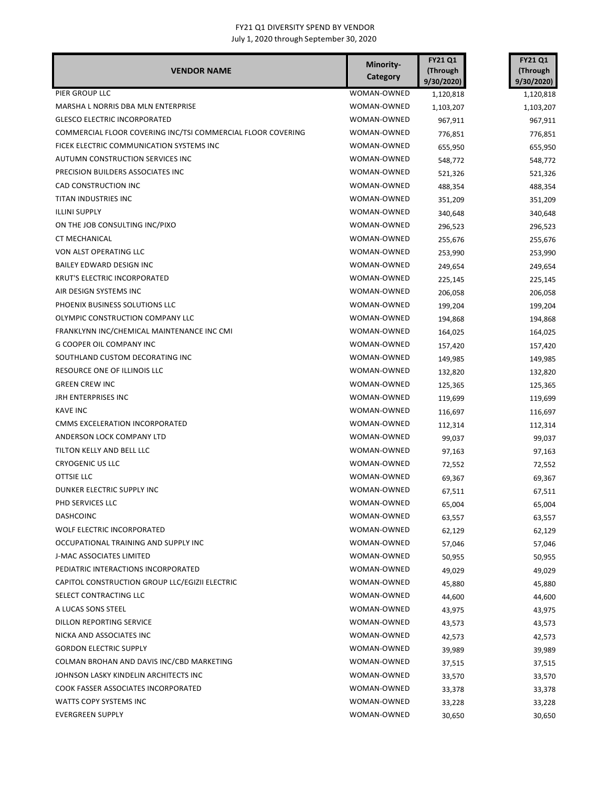| <b>VENDOR NAME</b>                                          | Minority-<br>Category | <b>FY21 Q1</b><br>(Through<br>9/30/2020) | <b>FY21 Q1</b><br>(Through<br>9/30/2020) |
|-------------------------------------------------------------|-----------------------|------------------------------------------|------------------------------------------|
| PIER GROUP LLC                                              | WOMAN-OWNED           | 1,120,818                                | 1,120,818                                |
| MARSHA L NORRIS DBA MLN ENTERPRISE                          | WOMAN-OWNED           | 1,103,207                                | 1,103,207                                |
| <b>GLESCO ELECTRIC INCORPORATED</b>                         | WOMAN-OWNED           | 967,911                                  | 967,911                                  |
| COMMERCIAL FLOOR COVERING INC/TSI COMMERCIAL FLOOR COVERING | WOMAN-OWNED           | 776,851                                  | 776,851                                  |
| FICEK ELECTRIC COMMUNICATION SYSTEMS INC                    | WOMAN-OWNED           | 655,950                                  | 655,950                                  |
| AUTUMN CONSTRUCTION SERVICES INC                            | WOMAN-OWNED           | 548,772                                  | 548,772                                  |
| PRECISION BUILDERS ASSOCIATES INC                           | WOMAN-OWNED           | 521,326                                  | 521,326                                  |
| CAD CONSTRUCTION INC                                        | WOMAN-OWNED           | 488,354                                  | 488,354                                  |
| TITAN INDUSTRIES INC                                        | WOMAN-OWNED           | 351,209                                  | 351,209                                  |
| <b>ILLINI SUPPLY</b>                                        | WOMAN-OWNED           | 340,648                                  | 340,648                                  |
| ON THE JOB CONSULTING INC/PIXO                              | WOMAN-OWNED           | 296,523                                  | 296,523                                  |
| <b>CT MECHANICAL</b>                                        | WOMAN-OWNED           | 255,676                                  | 255,676                                  |
| VON ALST OPERATING LLC                                      | WOMAN-OWNED           | 253,990                                  | 253,990                                  |
| BAILEY EDWARD DESIGN INC                                    | WOMAN-OWNED           | 249,654                                  | 249,654                                  |
| <b>KRUT'S ELECTRIC INCORPORATED</b>                         | WOMAN-OWNED           | 225,145                                  | 225,145                                  |
| AIR DESIGN SYSTEMS INC                                      | WOMAN-OWNED           | 206,058                                  | 206,058                                  |
| PHOENIX BUSINESS SOLUTIONS LLC                              | WOMAN-OWNED           | 199,204                                  | 199,204                                  |
| OLYMPIC CONSTRUCTION COMPANY LLC                            | WOMAN-OWNED           | 194,868                                  | 194,868                                  |
| FRANKLYNN INC/CHEMICAL MAINTENANCE INC CMI                  | WOMAN-OWNED           | 164,025                                  | 164,025                                  |
| <b>G COOPER OIL COMPANY INC</b>                             | WOMAN-OWNED           | 157,420                                  | 157,420                                  |
| SOUTHLAND CUSTOM DECORATING INC                             | WOMAN-OWNED           | 149,985                                  | 149,985                                  |
| RESOURCE ONE OF ILLINOIS LLC                                | WOMAN-OWNED           | 132,820                                  | 132,820                                  |
| <b>GREEN CREW INC</b>                                       | WOMAN-OWNED           | 125,365                                  | 125,365                                  |
| <b>JRH ENTERPRISES INC</b>                                  | WOMAN-OWNED           | 119,699                                  | 119,699                                  |
| <b>KAVE INC</b>                                             | WOMAN-OWNED           | 116,697                                  | 116,697                                  |
| CMMS EXCELERATION INCORPORATED                              | WOMAN-OWNED           | 112,314                                  | 112,314                                  |
| ANDERSON LOCK COMPANY LTD                                   | WOMAN-OWNED           | 99,037                                   | 99,037                                   |
| TILTON KELLY AND BELL LLC                                   | WOMAN-OWNED           | 97,163                                   | 97,163                                   |
| <b>CRYOGENIC US LLC</b>                                     | WOMAN-OWNED           | 72,552                                   | 72,552                                   |
| OTTSIE LLC                                                  | WOMAN-OWNED           | 69,367                                   | 69,367                                   |
| DUNKER ELECTRIC SUPPLY INC                                  | WOMAN-OWNED           | 67,511                                   | 67,511                                   |
| PHD SERVICES LLC                                            | WOMAN-OWNED           | 65,004                                   | 65,004                                   |
| <b>DASHCOINC</b>                                            | WOMAN-OWNED           | 63,557                                   | 63,557                                   |
| WOLF ELECTRIC INCORPORATED                                  | WOMAN-OWNED           | 62,129                                   | 62,129                                   |
| OCCUPATIONAL TRAINING AND SUPPLY INC                        | WOMAN-OWNED           | 57,046                                   | 57,046                                   |
| J-MAC ASSOCIATES LIMITED                                    | WOMAN-OWNED           | 50,955                                   | 50,955                                   |
| PEDIATRIC INTERACTIONS INCORPORATED                         | WOMAN-OWNED           | 49,029                                   | 49,029                                   |
| CAPITOL CONSTRUCTION GROUP LLC/EGIZII ELECTRIC              | WOMAN-OWNED           | 45,880                                   | 45,880                                   |
| SELECT CONTRACTING LLC                                      | WOMAN-OWNED           | 44,600                                   | 44,600                                   |
| A LUCAS SONS STEEL                                          | WOMAN-OWNED           | 43,975                                   |                                          |
| DILLON REPORTING SERVICE                                    | WOMAN-OWNED           | 43,573                                   | 43,975                                   |
| NICKA AND ASSOCIATES INC                                    | WOMAN-OWNED           |                                          | 43,573                                   |
| <b>GORDON ELECTRIC SUPPLY</b>                               | WOMAN-OWNED           | 42,573                                   | 42,573                                   |
| COLMAN BROHAN AND DAVIS INC/CBD MARKETING                   | WOMAN-OWNED           | 39,989                                   | 39,989                                   |
| JOHNSON LASKY KINDELIN ARCHITECTS INC                       | WOMAN-OWNED           | 37,515                                   | 37,515                                   |
| COOK FASSER ASSOCIATES INCORPORATED                         | WOMAN-OWNED           | 33,570                                   | 33,570                                   |
| WATTS COPY SYSTEMS INC                                      | WOMAN-OWNED           | 33,378                                   | 33,378                                   |
| <b>EVERGREEN SUPPLY</b>                                     | WOMAN-OWNED           | 33,228                                   | 33,228                                   |
|                                                             |                       | 30,650                                   | 30,650                                   |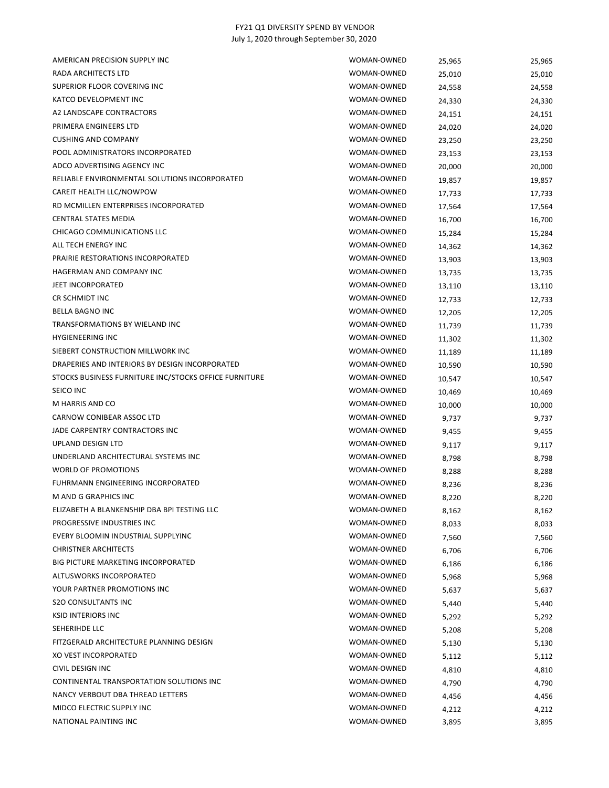| AMERICAN PRECISION SUPPLY INC                         | WOMAN-OWNED | 25,965 | 25,965 |
|-------------------------------------------------------|-------------|--------|--------|
| <b>RADA ARCHITECTS LTD</b>                            | WOMAN-OWNED | 25,010 | 25,010 |
| SUPERIOR FLOOR COVERING INC                           | WOMAN-OWNED | 24,558 | 24,558 |
| KATCO DEVELOPMENT INC                                 | WOMAN-OWNED | 24,330 | 24,330 |
| A2 LANDSCAPE CONTRACTORS                              | WOMAN-OWNED | 24,151 | 24,151 |
| PRIMERA ENGINEERS LTD                                 | WOMAN-OWNED | 24,020 | 24,020 |
| <b>CUSHING AND COMPANY</b>                            | WOMAN-OWNED | 23,250 | 23,250 |
| POOL ADMINISTRATORS INCORPORATED                      | WOMAN-OWNED | 23,153 | 23,153 |
| ADCO ADVERTISING AGENCY INC                           | WOMAN-OWNED | 20,000 | 20,000 |
| RELIABLE ENVIRONMENTAL SOLUTIONS INCORPORATED         | WOMAN-OWNED | 19,857 | 19,857 |
| CAREIT HEALTH LLC/NOWPOW                              | WOMAN-OWNED | 17,733 | 17,733 |
| RD MCMILLEN ENTERPRISES INCORPORATED                  | WOMAN-OWNED | 17,564 | 17,564 |
| CENTRAL STATES MEDIA                                  | WOMAN-OWNED | 16,700 | 16,700 |
| CHICAGO COMMUNICATIONS LLC                            | WOMAN-OWNED | 15,284 | 15,284 |
| ALL TECH ENERGY INC                                   | WOMAN-OWNED | 14,362 | 14,362 |
| PRAIRIE RESTORATIONS INCORPORATED                     | WOMAN-OWNED | 13,903 | 13,903 |
| HAGERMAN AND COMPANY INC                              | WOMAN-OWNED | 13,735 | 13,735 |
| <b>JEET INCORPORATED</b>                              | WOMAN-OWNED | 13,110 | 13,110 |
| CR SCHMIDT INC                                        | WOMAN-OWNED | 12,733 | 12,733 |
| <b>BELLA BAGNO INC</b>                                | WOMAN-OWNED | 12,205 | 12,205 |
| TRANSFORMATIONS BY WIELAND INC                        | WOMAN-OWNED | 11,739 | 11,739 |
| <b>HYGIENEERING INC</b>                               | WOMAN-OWNED | 11,302 | 11,302 |
| SIEBERT CONSTRUCTION MILLWORK INC                     | WOMAN-OWNED | 11,189 | 11,189 |
| DRAPERIES AND INTERIORS BY DESIGN INCORPORATED        | WOMAN-OWNED | 10,590 | 10,590 |
| STOCKS BUSINESS FURNITURE INC/STOCKS OFFICE FURNITURE | WOMAN-OWNED | 10,547 | 10,547 |
| SEICO INC                                             | WOMAN-OWNED | 10,469 | 10,469 |
| M HARRIS AND CO                                       | WOMAN-OWNED | 10,000 | 10,000 |
| CARNOW CONIBEAR ASSOC LTD                             | WOMAN-OWNED | 9,737  | 9,737  |
| JADE CARPENTRY CONTRACTORS INC                        | WOMAN-OWNED | 9,455  | 9,455  |
| UPLAND DESIGN LTD                                     | WOMAN-OWNED | 9,117  | 9,117  |
| UNDERLAND ARCHITECTURAL SYSTEMS INC                   | WOMAN-OWNED | 8,798  | 8,798  |
| <b>WORLD OF PROMOTIONS</b>                            | WOMAN-OWNED | 8,288  | 8,288  |
| FUHRMANN ENGINEERING INCORPORATED                     | WOMAN-OWNED | 8,236  | 8,236  |
| M AND G GRAPHICS INC                                  | WOMAN-OWNED | 8,220  | 8,220  |
| ELIZABETH A BLANKENSHIP DBA BPI TESTING LLC           | WOMAN-OWNED | 8,162  | 8,162  |
| PROGRESSIVE INDUSTRIES INC                            | WOMAN-OWNED | 8,033  | 8,033  |
| EVERY BLOOMIN INDUSTRIAL SUPPLYINC                    | WOMAN-OWNED | 7,560  | 7,560  |
| <b>CHRISTNER ARCHITECTS</b>                           | WOMAN-OWNED | 6,706  | 6,706  |
| <b>BIG PICTURE MARKETING INCORPORATED</b>             | WOMAN-OWNED | 6,186  | 6,186  |
| ALTUSWORKS INCORPORATED                               | WOMAN-OWNED | 5,968  | 5,968  |
| YOUR PARTNER PROMOTIONS INC                           | WOMAN-OWNED | 5,637  | 5,637  |
| <b>S2O CONSULTANTS INC</b>                            | WOMAN-OWNED | 5,440  | 5,440  |
| <b>KSID INTERIORS INC</b>                             | WOMAN-OWNED | 5,292  | 5,292  |
| SEHERIHDE LLC                                         | WOMAN-OWNED | 5,208  | 5,208  |
| FITZGERALD ARCHITECTURE PLANNING DESIGN               | WOMAN-OWNED | 5,130  | 5,130  |
| XO VEST INCORPORATED                                  | WOMAN-OWNED | 5,112  | 5,112  |
| CIVIL DESIGN INC                                      | WOMAN-OWNED | 4,810  | 4,810  |
| CONTINENTAL TRANSPORTATION SOLUTIONS INC              | WOMAN-OWNED | 4,790  | 4,790  |
| NANCY VERBOUT DBA THREAD LETTERS                      | WOMAN-OWNED | 4,456  | 4,456  |
| MIDCO ELECTRIC SUPPLY INC                             | WOMAN-OWNED | 4,212  | 4,212  |
| NATIONAL PAINTING INC                                 | WOMAN-OWNED | 3,895  | 3,895  |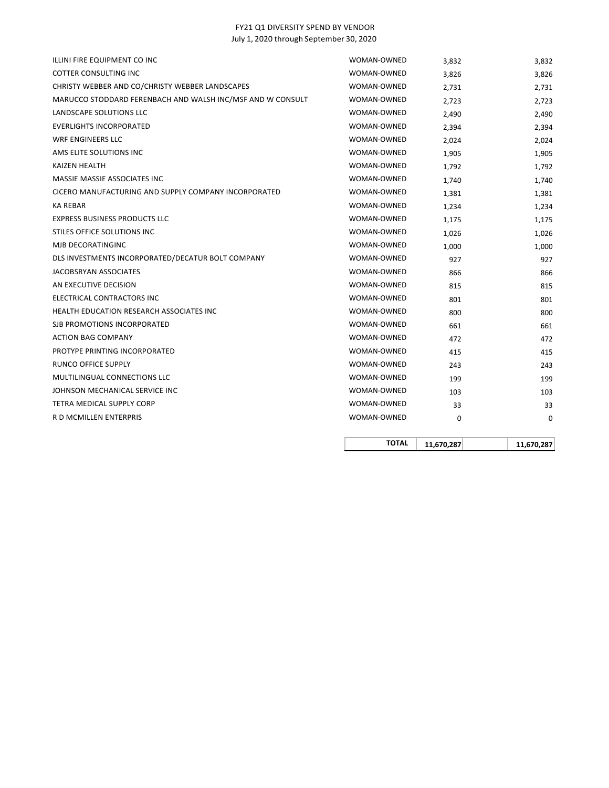|                                                            | <b>TOTAL</b>               | 11,670,287     | 11,670,287     |
|------------------------------------------------------------|----------------------------|----------------|----------------|
|                                                            |                            |                |                |
| R D MCMILLEN ENTERPRIS                                     | WOMAN-OWNED                | 0              | 0              |
| TETRA MEDICAL SUPPLY CORP                                  | WOMAN-OWNED                | 33             | 33             |
| JOHNSON MECHANICAL SERVICE INC                             | WOMAN-OWNED                | 103            | 103            |
| MULTILINGUAL CONNECTIONS LLC                               | WOMAN-OWNED                | 199            | 199            |
| RUNCO OFFICE SUPPLY                                        | WOMAN-OWNED                | 243            | 243            |
| PROTYPE PRINTING INCORPORATED                              | WOMAN-OWNED                | 415            | 415            |
| <b>ACTION BAG COMPANY</b>                                  | WOMAN-OWNED                | 472            | 472            |
| SJB PROMOTIONS INCORPORATED                                | WOMAN-OWNED                | 661            | 661            |
| HEALTH EDUCATION RESEARCH ASSOCIATES INC                   | WOMAN-OWNED                | 800            | 800            |
| ELECTRICAL CONTRACTORS INC                                 | WOMAN-OWNED                | 801            | 801            |
| AN EXECUTIVE DECISION                                      | WOMAN-OWNED                | 815            | 815            |
| JACOBSRYAN ASSOCIATES                                      | WOMAN-OWNED                | 866            | 866            |
| DLS INVESTMENTS INCORPORATED/DECATUR BOLT COMPANY          | WOMAN-OWNED                | 927            | 927            |
| MJB DECORATINGINC                                          | WOMAN-OWNED                | 1,000          | 1,000          |
| STILES OFFICE SOLUTIONS INC                                | WOMAN-OWNED                | 1,026          | 1,026          |
| <b>EXPRESS BUSINESS PRODUCTS LLC</b>                       | WOMAN-OWNED                | 1,234<br>1,175 | 1,234<br>1,175 |
| <b>KA REBAR</b>                                            | WOMAN-OWNED                | 1,381          | 1,381          |
| CICERO MANUFACTURING AND SUPPLY COMPANY INCORPORATED       | WOMAN-OWNED                | 1,740          | 1,740          |
| MASSIE MASSIE ASSOCIATES INC                               | WOMAN-OWNED                | 1,792          | 1,792          |
| AMS ELITE SOLUTIONS INC<br>KAIZEN HEALTH                   | WOMAN-OWNED<br>WOMAN-OWNED | 1,905          | 1,905          |
| WRF ENGINEERS LLC                                          | WOMAN-OWNED                | 2,024          | 2,024          |
| <b>EVERLIGHTS INCORPORATED</b>                             | WOMAN-OWNED                | 2,394          | 2,394          |
| LANDSCAPE SOLUTIONS LLC                                    | WOMAN-OWNED                | 2,490          | 2,490          |
| MARUCCO STODDARD FERENBACH AND WALSH INC/MSF AND W CONSULT | WOMAN-OWNED                | 2,723          | 2,723          |
| CHRISTY WEBBER AND CO/CHRISTY WEBBER LANDSCAPES            | WOMAN-OWNED                | 2,731          | 2,731          |
| <b>COTTER CONSULTING INC</b>                               | WOMAN-OWNED                | 3,826          | 3,826          |
| ILLINI FIRE EQUIPMENT CO INC                               | WOMAN-OWNED                | 3,832          | 3,832          |
|                                                            |                            |                |                |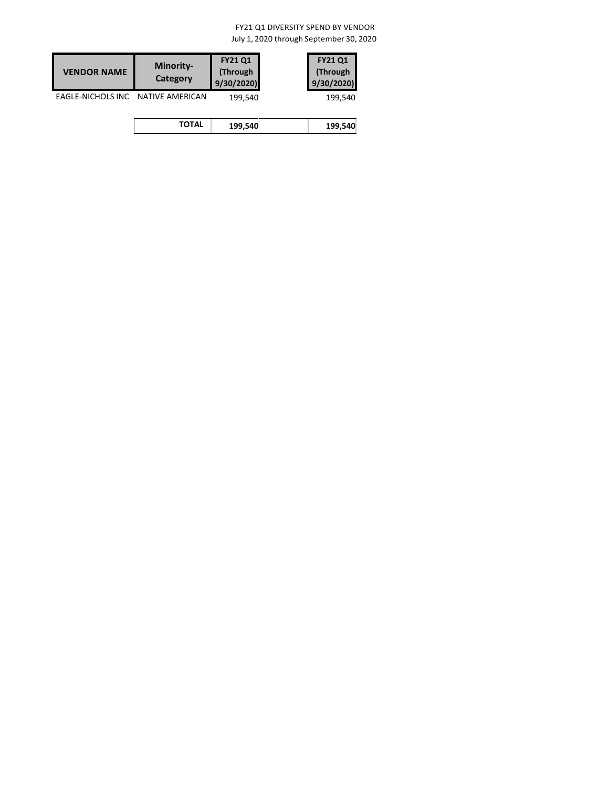| <b>VENDOR NAME</b> | <b>Minority-</b><br>Category | <b>FY21 Q1</b><br>(Through<br>9/30/2020 | <b>FY21 Q1</b><br>(Through<br>9/30/2020 |
|--------------------|------------------------------|-----------------------------------------|-----------------------------------------|
| EAGLE-NICHOLS INC  | <b>NATIVE AMERICAN</b>       | 199,540                                 | 199,540                                 |
|                    | <b>TOTAL</b>                 | 199,540                                 | 199,540                                 |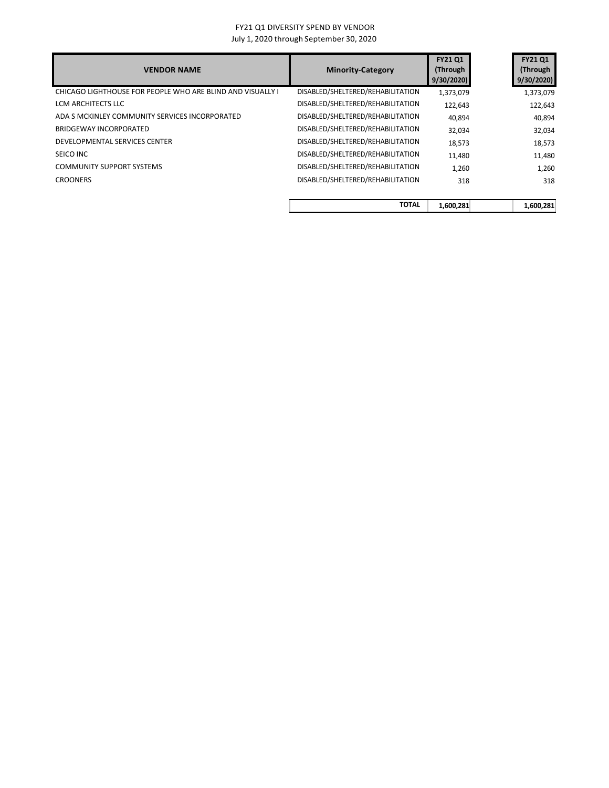| DISABLED/SHELTERED/REHABILITATION |           | 9/30/2020 |
|-----------------------------------|-----------|-----------|
|                                   | 1,373,079 | 1,373,079 |
| DISABLED/SHELTERED/REHABILITATION | 122,643   | 122,643   |
| DISABLED/SHELTERED/REHABILITATION | 40,894    | 40,894    |
| DISABLED/SHELTERED/REHABILITATION | 32,034    | 32,034    |
| DISABLED/SHELTERED/REHABILITATION | 18,573    | 18,573    |
| DISABLED/SHELTERED/REHABILITATION | 11,480    | 11,480    |
| DISABLED/SHELTERED/REHABILITATION | 1,260     | 1,260     |
| DISABLED/SHELTERED/REHABILITATION | 318       | 318       |
|                                   |           |           |

| TOTAL | 1,600,281 | 1.600.281 |
|-------|-----------|-----------|
|       |           |           |